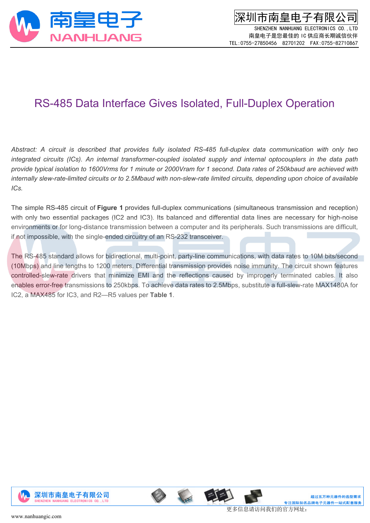

深圳市南皇电子有限公司 SHENZHEN NANHUANG ELECTRONICS CO., LTD 南皇电子是您最佳的 IC 供应商长期诚信伙伴 TEL:0755-27850456 82701202 FAX:0755-82710867

## RS-485 Data Interface Gives Isolated, Full-Duplex Operation

Abstract: A circuit is described that provides fully isolated RS-485 full-duplex data communication with only two *integrated circuits (ICs). An internal transformer-coupled isolated supply and internal optocouplers in the data path* provide typical isolation to 1600Vrms for 1 minute or 2000Vram for 1 second. Data rates of 250kbaud are achieved with internally slew-rate-limited circuits or to 2.5Mbaud with non-slew-rate limited circuits, depending upon choice of available *ICs.*

The simple RS-485 circuit of **Figure 1** provides full-duplex communications (simultaneous transmission and reception) with only two essential packages (IC2 and IC3). Its balanced and differential data lines are necessary for high-noise environments or for long-distance transmission between a computer and its peripherals. Such transmissions are difficult, if not impossible, with the single-ended circuitry of an RS-232 transceiver.

The RS-485 standard allows for bidirectional, multi-point, party-line communications, with data rates to 10M bits/second (10Mbps) and line lengths to 1200 meters. Differential transmission provides noise immunity. The circuit shown features controlled-slew-rate drivers that minimize EMI and the reflections caused by improperly terminated cables. It also enables error-free transmissions to 250kbps. To achieve data rates to 2.5Mbps, substitute a full-slew-rate MAX1480A for IC2, a MAX485 for IC3, and R2—R5 values per **Table 1**.





更多信息请访问我们的官方网址: